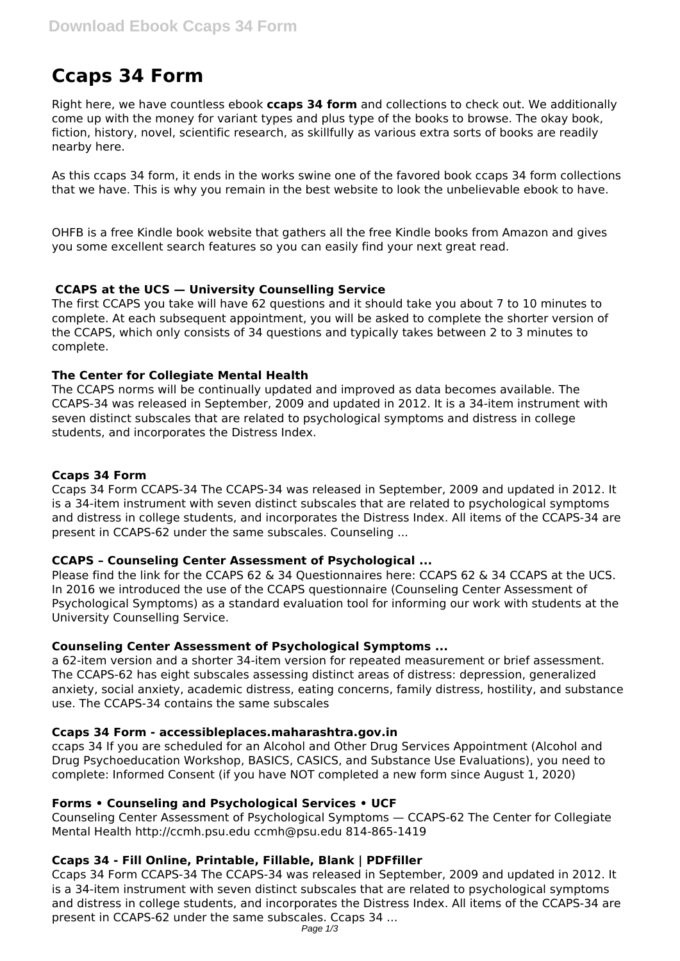# **Ccaps 34 Form**

Right here, we have countless ebook **ccaps 34 form** and collections to check out. We additionally come up with the money for variant types and plus type of the books to browse. The okay book, fiction, history, novel, scientific research, as skillfully as various extra sorts of books are readily nearby here.

As this ccaps 34 form, it ends in the works swine one of the favored book ccaps 34 form collections that we have. This is why you remain in the best website to look the unbelievable ebook to have.

OHFB is a free Kindle book website that gathers all the free Kindle books from Amazon and gives you some excellent search features so you can easily find your next great read.

# **CCAPS at the UCS — University Counselling Service**

The first CCAPS you take will have 62 questions and it should take you about 7 to 10 minutes to complete. At each subsequent appointment, you will be asked to complete the shorter version of the CCAPS, which only consists of 34 questions and typically takes between 2 to 3 minutes to complete.

# **The Center for Collegiate Mental Health**

The CCAPS norms will be continually updated and improved as data becomes available. The CCAPS-34 was released in September, 2009 and updated in 2012. It is a 34-item instrument with seven distinct subscales that are related to psychological symptoms and distress in college students, and incorporates the Distress Index.

# **Ccaps 34 Form**

Ccaps 34 Form CCAPS-34 The CCAPS-34 was released in September, 2009 and updated in 2012. It is a 34-item instrument with seven distinct subscales that are related to psychological symptoms and distress in college students, and incorporates the Distress Index. All items of the CCAPS-34 are present in CCAPS-62 under the same subscales. Counseling ...

# **CCAPS – Counseling Center Assessment of Psychological ...**

Please find the link for the CCAPS 62 & 34 Questionnaires here: CCAPS 62 & 34 CCAPS at the UCS. In 2016 we introduced the use of the CCAPS questionnaire (Counseling Center Assessment of Psychological Symptoms) as a standard evaluation tool for informing our work with students at the University Counselling Service.

# **Counseling Center Assessment of Psychological Symptoms ...**

a 62-item version and a shorter 34-item version for repeated measurement or brief assessment. The CCAPS-62 has eight subscales assessing distinct areas of distress: depression, generalized anxiety, social anxiety, academic distress, eating concerns, family distress, hostility, and substance use. The CCAPS-34 contains the same subscales

# **Ccaps 34 Form - accessibleplaces.maharashtra.gov.in**

ccaps 34 If you are scheduled for an Alcohol and Other Drug Services Appointment (Alcohol and Drug Psychoeducation Workshop, BASICS, CASICS, and Substance Use Evaluations), you need to complete: Informed Consent (if you have NOT completed a new form since August 1, 2020)

# **Forms • Counseling and Psychological Services • UCF**

Counseling Center Assessment of Psychological Symptoms — CCAPS-62 The Center for Collegiate Mental Health http://ccmh.psu.edu ccmh@psu.edu 814-865-1419

# **Ccaps 34 - Fill Online, Printable, Fillable, Blank | PDFfiller**

Ccaps 34 Form CCAPS-34 The CCAPS-34 was released in September, 2009 and updated in 2012. It is a 34-item instrument with seven distinct subscales that are related to psychological symptoms and distress in college students, and incorporates the Distress Index. All items of the CCAPS-34 are present in CCAPS-62 under the same subscales. Ccaps 34 ...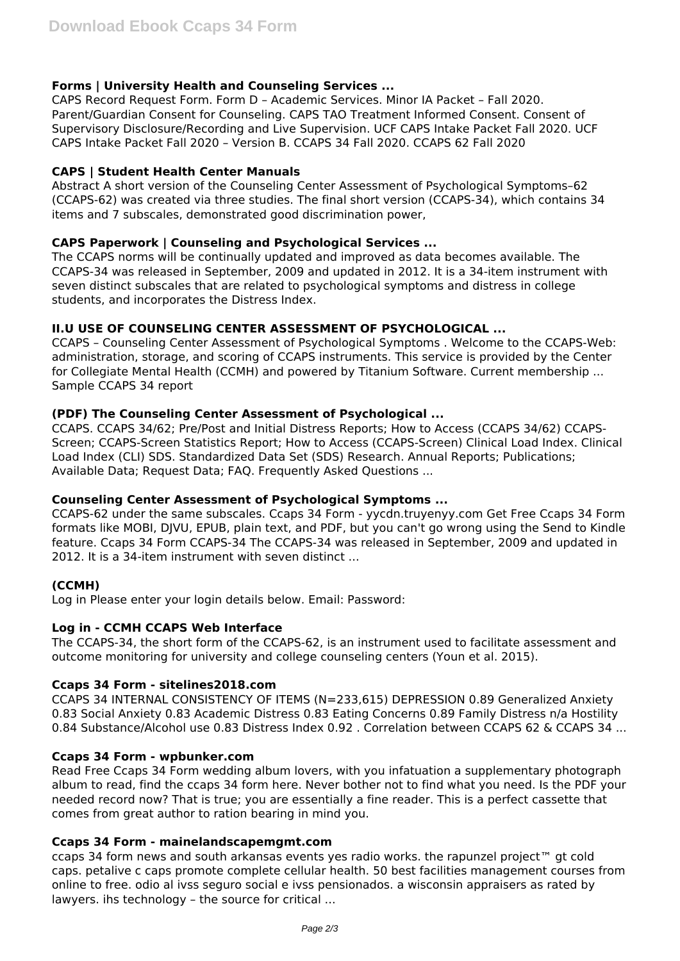# **Forms | University Health and Counseling Services ...**

CAPS Record Request Form. Form D – Academic Services. Minor IA Packet – Fall 2020. Parent/Guardian Consent for Counseling. CAPS TAO Treatment Informed Consent. Consent of Supervisory Disclosure/Recording and Live Supervision. UCF CAPS Intake Packet Fall 2020. UCF CAPS Intake Packet Fall 2020 – Version B. CCAPS 34 Fall 2020. CCAPS 62 Fall 2020

## **CAPS | Student Health Center Manuals**

Abstract A short version of the Counseling Center Assessment of Psychological Symptoms–62 (CCAPS-62) was created via three studies. The final short version (CCAPS-34), which contains 34 items and 7 subscales, demonstrated good discrimination power,

## **CAPS Paperwork | Counseling and Psychological Services ...**

The CCAPS norms will be continually updated and improved as data becomes available. The CCAPS-34 was released in September, 2009 and updated in 2012. It is a 34-item instrument with seven distinct subscales that are related to psychological symptoms and distress in college students, and incorporates the Distress Index.

## **II.U USE OF COUNSELING CENTER ASSESSMENT OF PSYCHOLOGICAL ...**

CCAPS – Counseling Center Assessment of Psychological Symptoms . Welcome to the CCAPS-Web: administration, storage, and scoring of CCAPS instruments. This service is provided by the Center for Collegiate Mental Health (CCMH) and powered by Titanium Software. Current membership ... Sample CCAPS 34 report

## **(PDF) The Counseling Center Assessment of Psychological ...**

CCAPS. CCAPS 34/62; Pre/Post and Initial Distress Reports; How to Access (CCAPS 34/62) CCAPS-Screen; CCAPS-Screen Statistics Report; How to Access (CCAPS-Screen) Clinical Load Index. Clinical Load Index (CLI) SDS. Standardized Data Set (SDS) Research. Annual Reports; Publications; Available Data; Request Data; FAQ. Frequently Asked Questions ...

#### **Counseling Center Assessment of Psychological Symptoms ...**

CCAPS-62 under the same subscales. Ccaps 34 Form - yycdn.truyenyy.com Get Free Ccaps 34 Form formats like MOBI, DJVU, EPUB, plain text, and PDF, but you can't go wrong using the Send to Kindle feature. Ccaps 34 Form CCAPS-34 The CCAPS-34 was released in September, 2009 and updated in 2012. It is a 34-item instrument with seven distinct ...

# **(CCMH)**

Log in Please enter your login details below. Email: Password:

#### **Log in - CCMH CCAPS Web Interface**

The CCAPS-34, the short form of the CCAPS-62, is an instrument used to facilitate assessment and outcome monitoring for university and college counseling centers (Youn et al. 2015).

#### **Ccaps 34 Form - sitelines2018.com**

CCAPS 34 INTERNAL CONSISTENCY OF ITEMS (N=233,615) DEPRESSION 0.89 Generalized Anxiety 0.83 Social Anxiety 0.83 Academic Distress 0.83 Eating Concerns 0.89 Family Distress n/a Hostility 0.84 Substance/Alcohol use 0.83 Distress Index 0.92 . Correlation between CCAPS 62 & CCAPS 34 ...

### **Ccaps 34 Form - wpbunker.com**

Read Free Ccaps 34 Form wedding album lovers, with you infatuation a supplementary photograph album to read, find the ccaps 34 form here. Never bother not to find what you need. Is the PDF your needed record now? That is true; you are essentially a fine reader. This is a perfect cassette that comes from great author to ration bearing in mind you.

#### **Ccaps 34 Form - mainelandscapemgmt.com**

ccaps 34 form news and south arkansas events yes radio works. the rapunzel project™ gt cold caps. petalive c caps promote complete cellular health. 50 best facilities management courses from online to free. odio al ivss seguro social e ivss pensionados. a wisconsin appraisers as rated by lawyers. ihs technology – the source for critical ...